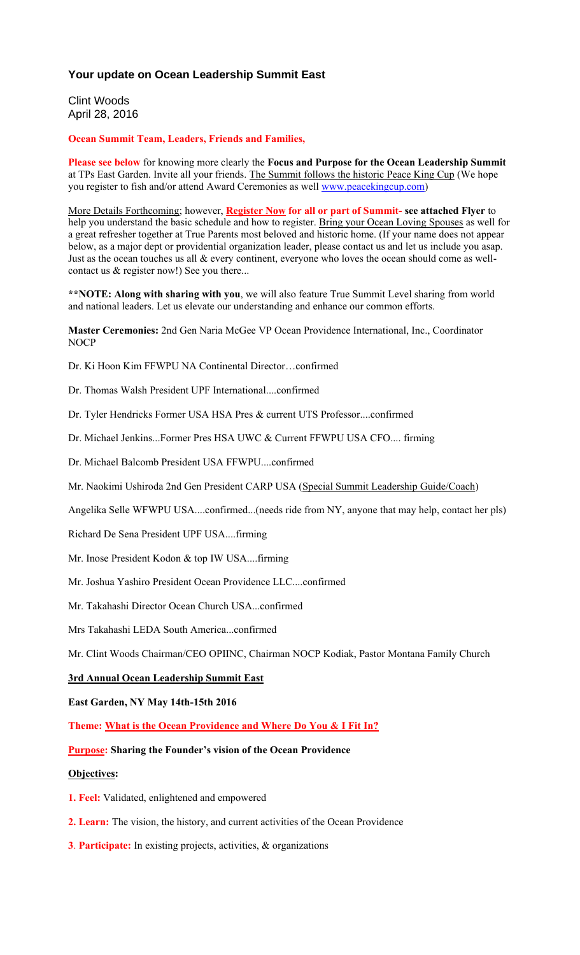## **Your update on Ocean Leadership Summit East**

Clint Woods April 28, 2016

#### **Ocean Summit Team, Leaders, Friends and Families,**

**Please see below** for knowing more clearly the **Focus and Purpose for the Ocean Leadership Summit** at TPs East Garden. Invite all your friends. The Summit follows the historic Peace King Cup (We hope you register to fish and/or attend Award Ceremonies as well www.peacekingcup.com)

More Details Forthcoming; however, **Register Now for all or part of Summit- see attached Flyer** to help you understand the basic schedule and how to register. Bring your Ocean Loving Spouses as well for a great refresher together at True Parents most beloved and historic home. (If your name does not appear below, as a major dept or providential organization leader, please contact us and let us include you asap. Just as the ocean touches us all & every continent, everyone who loves the ocean should come as wellcontact us & register now!) See you there...

**\*\*NOTE: Along with sharing with you**, we will also feature True Summit Level sharing from world and national leaders. Let us elevate our understanding and enhance our common efforts.

**Master Ceremonies:** 2nd Gen Naria McGee VP Ocean Providence International, Inc., Coordinator NOCP

Dr. Ki Hoon Kim FFWPU NA Continental Director…confirmed

Dr. Thomas Walsh President UPF International....confirmed

Dr. Tyler Hendricks Former USA HSA Pres & current UTS Professor....confirmed

Dr. Michael Jenkins...Former Pres HSA UWC & Current FFWPU USA CFO.... firming

Dr. Michael Balcomb President USA FFWPU....confirmed

Mr. Naokimi Ushiroda 2nd Gen President CARP USA (Special Summit Leadership Guide/Coach)

Angelika Selle WFWPU USA....confirmed...(needs ride from NY, anyone that may help, contact her pls)

Richard De Sena President UPF USA....firming

Mr. Inose President Kodon & top IW USA....firming

Mr. Joshua Yashiro President Ocean Providence LLC....confirmed

Mr. Takahashi Director Ocean Church USA...confirmed

Mrs Takahashi LEDA South America...confirmed

Mr. Clint Woods Chairman/CEO OPIINC, Chairman NOCP Kodiak, Pastor Montana Family Church

### **3rd Annual Ocean Leadership Summit East**

**East Garden, NY May 14th-15th 2016**

**Theme: What is the Ocean Providence and Where Do You & I Fit In?**

### **Purpose: Sharing the Founder's vision of the Ocean Providence**

#### **Objectives:**

**1. Feel:** Validated, enlightened and empowered

- **2. Learn:** The vision, the history, and current activities of the Ocean Providence
- **3**. **Participate:** In existing projects, activities, & organizations